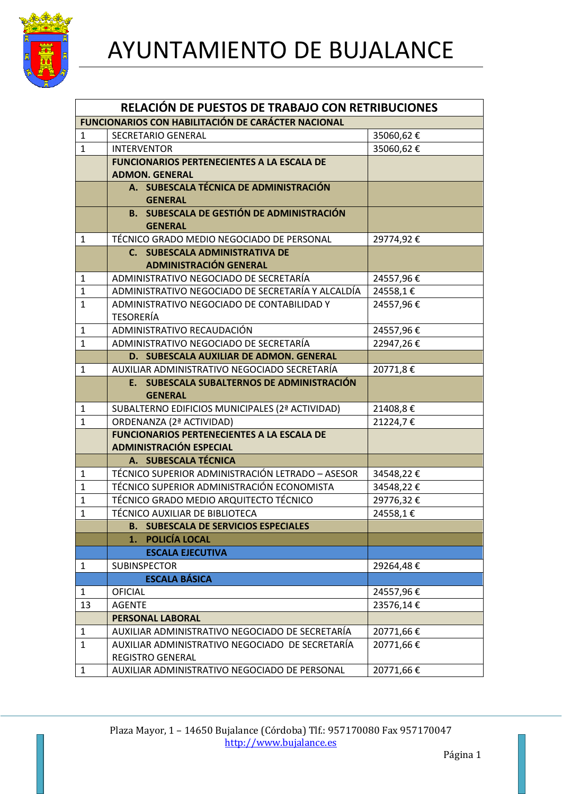

| RELACIÓN DE PUESTOS DE TRABAJO CON RETRIBUCIONES          |                                                                             |           |  |
|-----------------------------------------------------------|-----------------------------------------------------------------------------|-----------|--|
| <b>FUNCIONARIOS CON HABILITACIÓN DE CARÁCTER NACIONAL</b> |                                                                             |           |  |
| 1                                                         | <b>SECRETARIO GENERAL</b>                                                   | 35060,62€ |  |
| $\mathbf{1}$                                              | <b>INTERVENTOR</b>                                                          | 35060,62€ |  |
|                                                           | <b>FUNCIONARIOS PERTENECIENTES A LA ESCALA DE</b>                           |           |  |
|                                                           | <b>ADMON. GENERAL</b>                                                       |           |  |
|                                                           | A. SUBESCALA TÉCNICA DE ADMINISTRACIÓN                                      |           |  |
|                                                           | <b>GENERAL</b>                                                              |           |  |
|                                                           | <b>B. SUBESCALA DE GESTIÓN DE ADMINISTRACIÓN</b>                            |           |  |
|                                                           | <b>GENERAL</b>                                                              |           |  |
| $\mathbf{1}$                                              | TÉCNICO GRADO MEDIO NEGOCIADO DE PERSONAL                                   | 29774,92€ |  |
|                                                           | C. SUBESCALA ADMINISTRATIVA DE                                              |           |  |
|                                                           | <b>ADMINISTRACIÓN GENERAL</b>                                               |           |  |
| $\mathbf{1}$                                              | ADMINISTRATIVO NEGOCIADO DE SECRETARÍA                                      | 24557,96€ |  |
| $\mathbf{1}$                                              | ADMINISTRATIVO NEGOCIADO DE SECRETARÍA Y ALCALDÍA                           | 24558,1€  |  |
| $\mathbf{1}$                                              | ADMINISTRATIVO NEGOCIADO DE CONTABILIDAD Y                                  | 24557,96€ |  |
|                                                           | <b>TESORERÍA</b>                                                            |           |  |
| 1                                                         | ADMINISTRATIVO RECAUDACIÓN                                                  | 24557,96€ |  |
| $\mathbf 1$                                               | ADMINISTRATIVO NEGOCIADO DE SECRETARÍA                                      | 22947,26€ |  |
|                                                           | D. SUBESCALA AUXILIAR DE ADMON. GENERAL                                     |           |  |
| $\mathbf{1}$                                              | AUXILIAR ADMINISTRATIVO NEGOCIADO SECRETARÍA                                | 20771,8€  |  |
|                                                           | E. SUBESCALA SUBALTERNOS DE ADMINISTRACIÓN                                  |           |  |
|                                                           | <b>GENERAL</b>                                                              |           |  |
| 1<br>$\mathbf{1}$                                         | SUBALTERNO EDIFICIOS MUNICIPALES (2ª ACTIVIDAD)<br>ORDENANZA (2ª ACTIVIDAD) | 21408,8€  |  |
|                                                           | <b>FUNCIONARIOS PERTENECIENTES A LA ESCALA DE</b>                           | 21224,7€  |  |
|                                                           | <b>ADMINISTRACIÓN ESPECIAL</b>                                              |           |  |
|                                                           | A. SUBESCALA TÉCNICA                                                        |           |  |
| 1                                                         | TÉCNICO SUPERIOR ADMINISTRACIÓN LETRADO - ASESOR                            | 34548,22€ |  |
| $\mathbf{1}$                                              | TÉCNICO SUPERIOR ADMINISTRACIÓN ECONOMISTA                                  | 34548,22€ |  |
| $\mathbf 1$                                               | TÉCNICO GRADO MEDIO ARQUITECTO TÉCNICO                                      | 29776,32€ |  |
| $\mathbf 1$                                               | TÉCNICO AUXILIAR DE BIBLIOTECA                                              | 24558,1€  |  |
|                                                           | <b>B. SUBESCALA DE SERVICIOS ESPECIALES</b>                                 |           |  |
|                                                           | POLICÍA LOCAL<br>1.                                                         |           |  |
|                                                           | <b>ESCALA EJECUTIVA</b>                                                     |           |  |
| $\mathbf{1}$                                              | <b>SUBINSPECTOR</b>                                                         | 29264,48€ |  |
|                                                           | <b>ESCALA BÁSICA</b>                                                        |           |  |
| 1                                                         | <b>OFICIAL</b>                                                              | 24557,96€ |  |
| 13                                                        | <b>AGENTE</b>                                                               | 23576,14€ |  |
|                                                           | <b>PERSONAL LABORAL</b>                                                     |           |  |
| $\mathbf{1}$                                              | AUXILIAR ADMINISTRATIVO NEGOCIADO DE SECRETARÍA                             | 20771,66€ |  |
| $\mathbf 1$                                               | AUXILIAR ADMINISTRATIVO NEGOCIADO DE SECRETARÍA                             | 20771,66€ |  |
|                                                           | REGISTRO GENERAL                                                            |           |  |
| $\mathbf{1}$                                              | AUXILIAR ADMINISTRATIVO NEGOCIADO DE PERSONAL                               | 20771,66€ |  |